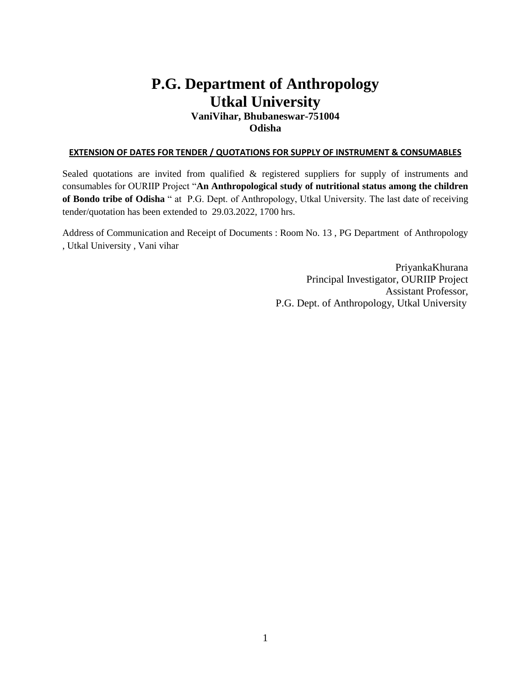# **P.G. Department of Anthropology Utkal University**

### **VaniVihar, Bhubaneswar-751004 Odisha**

#### **EXTENSION OF DATES FOR TENDER / QUOTATIONS FOR SUPPLY OF INSTRUMENT & CONSUMABLES**

Sealed quotations are invited from qualified & registered suppliers for supply of instruments and consumables for OURIIP Project "**An Anthropological study of nutritional status among the children of Bondo tribe of Odisha** " at P.G. Dept. of Anthropology, Utkal University. The last date of receiving tender/quotation has been extended to 29.03.2022, 1700 hrs.

Address of Communication and Receipt of Documents : Room No. 13 , PG Department of Anthropology , Utkal University , Vani vihar

> PriyankaKhurana Principal Investigator, OURIIP Project Assistant Professor, P.G. Dept. of Anthropology, Utkal University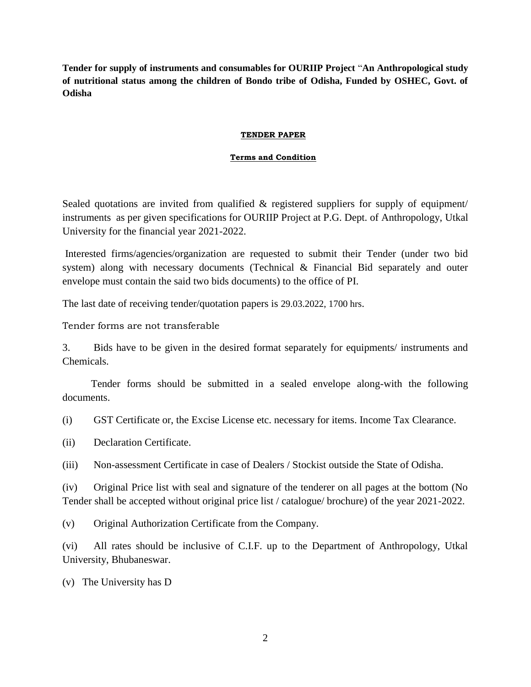**Tender for supply of instruments and consumables for OURIIP Project** "**An Anthropological study of nutritional status among the children of Bondo tribe of Odisha, Funded by OSHEC, Govt. of Odisha**

#### **TENDER PAPER**

#### **Terms and Condition**

Sealed quotations are invited from qualified  $\&$  registered suppliers for supply of equipment/ instruments as per given specifications for OURIIP Project at P.G. Dept. of Anthropology, Utkal University for the financial year 2021-2022.

Interested firms/agencies/organization are requested to submit their Tender (under two bid system) along with necessary documents (Technical & Financial Bid separately and outer envelope must contain the said two bids documents) to the office of PI.

The last date of receiving tender/quotation papers is 29.03.2022, 1700 hrs.

Tender forms are not transferable

3. Bids have to be given in the desired format separately for equipments/ instruments and Chemicals.

 Tender forms should be submitted in a sealed envelope along-with the following documents.

(i) GST Certificate or, the Excise License etc. necessary for items. Income Tax Clearance.

(ii) Declaration Certificate.

(iii) Non-assessment Certificate in case of Dealers / Stockist outside the State of Odisha.

(iv) Original Price list with seal and signature of the tenderer on all pages at the bottom (No Tender shall be accepted without original price list / catalogue/ brochure) of the year 2021-2022.

(v) Original Authorization Certificate from the Company.

(vi) All rates should be inclusive of C.I.F. up to the Department of Anthropology, Utkal University, Bhubaneswar.

(v) The University has D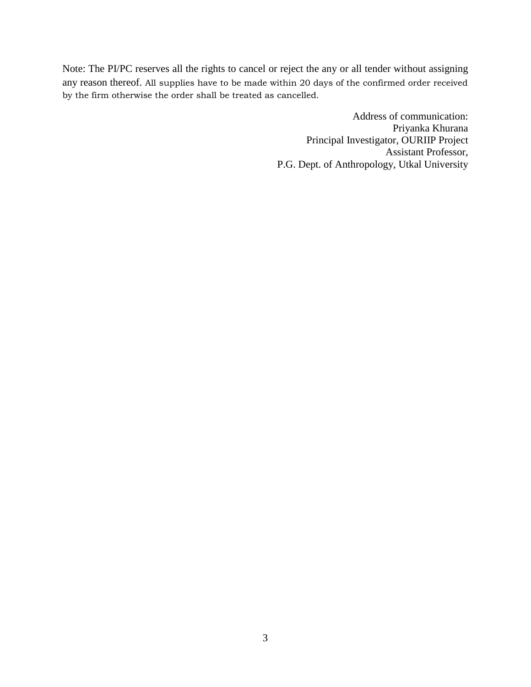Note: The PI/PC reserves all the rights to cancel or reject the any or all tender without assigning any reason thereof. All supplies have to be made within 20 days of the confirmed order received by the firm otherwise the order shall be treated as cancelled.

> Address of communication: Priyanka Khurana Principal Investigator, OURIIP Project Assistant Professor, P.G. Dept. of Anthropology, Utkal University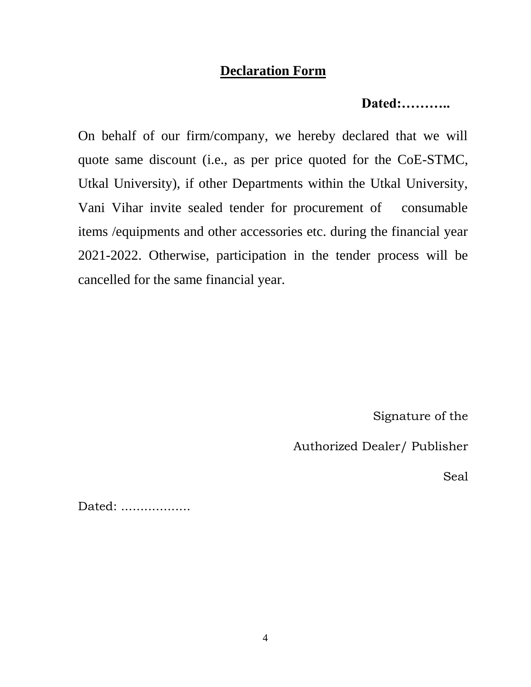### **Declaration Form**

### **Dated:………..**

On behalf of our firm/company, we hereby declared that we will quote same discount (i.e., as per price quoted for the CoE-STMC, Utkal University), if other Departments within the Utkal University, Vani Vihar invite sealed tender for procurement of consumable items /equipments and other accessories etc. during the financial year 2021-2022. Otherwise, participation in the tender process will be cancelled for the same financial year.

Signature of the

Authorized Dealer/ Publisher

Seal

Dated: ..................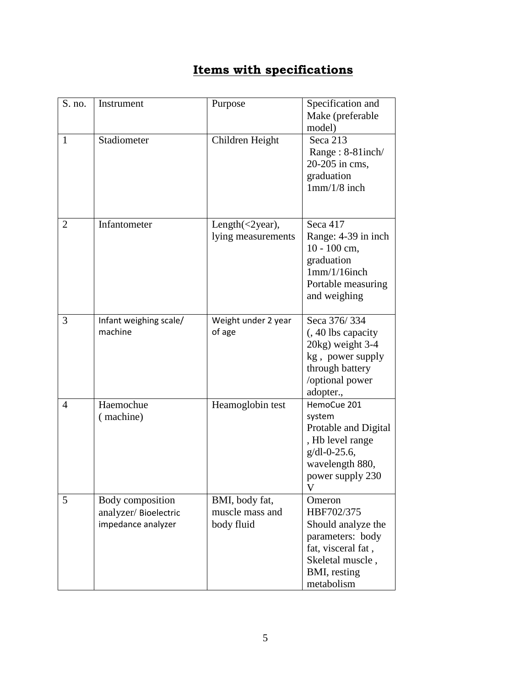## **Items with specifications**

| S. no.         | Instrument                                                     | Purpose                                         | Specification and<br>Make (preferable<br>model)                                                                                        |
|----------------|----------------------------------------------------------------|-------------------------------------------------|----------------------------------------------------------------------------------------------------------------------------------------|
| 1              | Stadiometer                                                    | Children Height                                 | Seca 213<br>Range: 8-81inch/<br>20-205 in cms,<br>graduation<br>$1mm/1/8$ inch                                                         |
| $\overline{2}$ | Infantometer                                                   | Length $(\leq 2$ year),<br>lying measurements   | Seca 417<br>Range: 4-39 in inch<br>10 - 100 cm,<br>graduation<br>1mm/1/16inch<br>Portable measuring<br>and weighing                    |
| 3              | Infant weighing scale/<br>machine                              | Weight under 2 year<br>of age                   | Seca 376/334<br>(, 40 lbs capacity<br>20kg) weight 3-4<br>kg, power supply<br>through battery<br>/optional power<br>adopter.,          |
| $\overline{4}$ | Haemochue<br>(machine)                                         | Heamoglobin test                                | HemoCue 201<br>system<br>Protable and Digital<br>, Hb level range<br>$g/dl$ -0-25.6,<br>wavelength 880,<br>power supply 230            |
| 5              | Body composition<br>analyzer/Bioelectric<br>impedance analyzer | BMI, body fat,<br>muscle mass and<br>body fluid | Omeron<br>HBF702/375<br>Should analyze the<br>parameters: body<br>fat, visceral fat,<br>Skeletal muscle,<br>BMI, resting<br>metabolism |